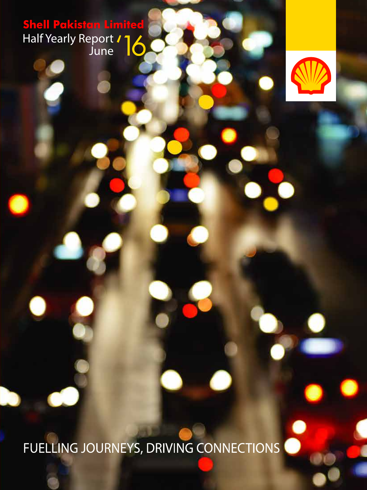**Shell Pakistan Limited** Half Yearly Report June



FUELLING JOURNEYS, DRIVING CONNECTIONS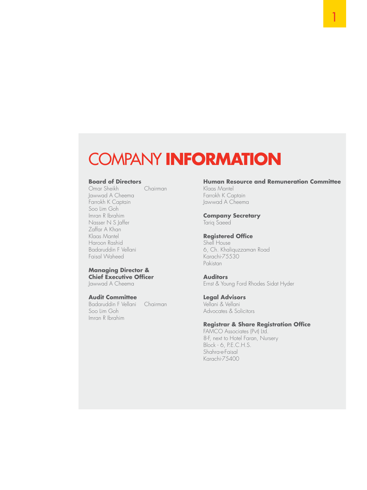### COMPANY **INFORMATION**

#### **Board of Directors**

Omar Sheikh Chairman Jawwad A Cheema Farrokh K Captain Soo Lim Goh Imran R Ibrahim Nasser N S Jaffer Zaffar A Khan Klaas Mantel Haroon Rashid Badaruddin F Vellani Faisal Waheed

#### **Managing Director & Chief Executive Officer**

Jawwad A Cheema

#### **Audit Committee**

Badaruddin F Vellani Chairman Soo Lim Goh Imran R Ibrahim

#### **Human Resource and Remuneration Committee**

Klaas Mantel Farrokh K Captain Jawwad A Cheema

### **Company Secretary**

Tariq Saeed

#### **Registered Office**

Shell House 6, Ch. Khaliquzzaman Road Karachi-75530 Pakistan

#### **Auditors**

Ernst & Young Ford Rhodes Sidat Hyder

#### **Legal Advisors**

Vellani & Vellani Advocates & Solicitors

#### **Registrar & Share Registration Office**

FAMCO Associates (Pvt) Ltd. 8-F, next to Hotel Faran, Nursery Block - 6, P.E.C.H.S. Shahra-e-Faisal Karachi-75400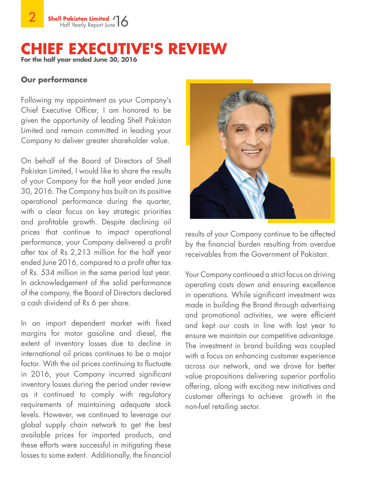### **EXECUTIVE'S REVIEW For the half year ended June 30, 2016**

### **Our performance**

Following my appointment as your Company's Chief Executive Officer, I am honored to be given the opportunity of leading Shell Pakistan Limited and remain committed in leading your Company to deliver greater shareholder value.

On behalf of the Board of Directors of Shell Pakistan Limited, I would like to share the results of your Company for the half year ended June 30, 2016. The Company has built on its positive operational performance during the quarter, with a clear focus on key strategic priorities and profitable growth. Despite declining oil prices that continue to impact operational performance, your Company delivered a profit after tax of Rs 2,213 million for the half year ended June 2016, compared to a profit after tax of Rs. 534 million in the same period last year. In acknowledgement of the solid performance of the company, the Board of Directors declared a cash dividend of Rs 6 per share.

In an import dependent market with fixed margins for motor gasoline and diesel, the extent of inventory losses due to decline in international oil prices continues to be a major factor. With the oil prices continuing to fluctuate in 2016, your Company incurred significant inventory losses during the period under review as it continued to comply with regulatory requirements of maintaining adequate stock levels. However, we continued to leverage our global supply chain network to get the best available prices for imported products, and these efforts were successful in mitigating these losses to some extent. Additionally, the financial



results of your Company continue to be affected by the financial burden resulting from overdue receivables from the Government of Pakistan.

Your Company continued a strict focus on driving operating costs down and ensuring excellence in operations. While significant investment was made in building the Brand through advertising and promotional activities, we were efficient and kept our costs in line with last year to ensure we maintain our competitive advantage. The investment in brand building was coupled with a focus on enhancing customer experience across our network, and we drove for better value propositions delivering superior portfolio offering, along with exciting new initiatives and customer offerings to achieve growth in the non-fuel retailing sector.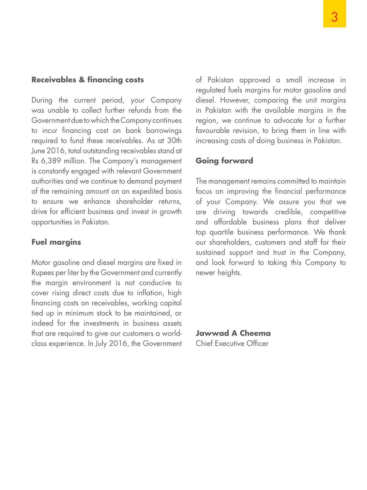### **Receivables & financing costs**

During the current period, your Company was unable to collect further refunds from the Government due to which the Company continues to incur financing cost on bank borrowings required to fund these receivables. As at 30th June 2016, total outstanding receivables stand at Rs 6,389 million. The Company's management is constantly engaged with relevant Government authorities and we continue to demand payment of the remaining amount on an expedited basis to ensure we enhance shareholder returns, drive for efficient business and invest in growth opportunities in Pakistan.

### **Fuel margins**

Motor gasoline and diesel margins are fixed in Rupees per liter by the Government and currently the margin environment is not conducive to cover rising direct costs due to inflation, high financing costs on receivables, working capital tied up in minimum stock to be maintained, or indeed for the investments in business assets that are required to give our customers a worldclass experience. In July 2016, the Government

of Pakistan approved a small increase in regulated fuels margins for motor gasoline and diesel. However, comparing the unit margins in Pakistan with the available margins in the region, we continue to advocate for a further favourable revision, to bring them in line with increasing costs of doing business in Pakistan.

### **Going forward**

The management remains committed to maintain focus on improving the financial performance of your Company. We assure you that we are driving towards credible, competitive and affordable business plans that deliver top quartile business performance. We thank our shareholders, customers and staff for their sustained support and trust in the Company, and look forward to taking this Company to newer heights.

**Jawwad A Cheema** Chief Executive Officer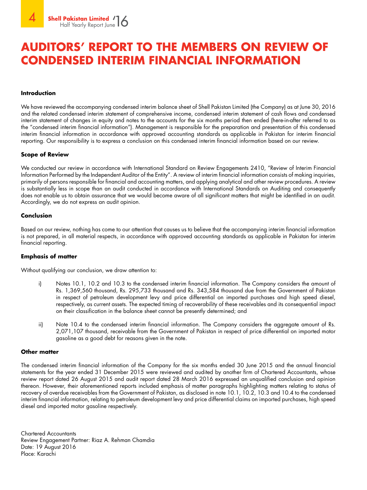### **AUDITORS' REPORT TO THE MEMBERS ON REVIEW OF CONDENSED INTERIM FINANCIAL INFORMATION**

#### **Introduction**

We have reviewed the accompanying condensed interim balance sheet of Shell Pakistan Limited (the Company) as at June 30, 2016 and the related condensed interim statement of comprehensive income, condensed interim statement of cash flows and condensed interim statement of changes in equity and notes to the accounts for the six months period then ended (here-in-after referred to as the "condensed interim financial information"). Management is responsible for the preparation and presentation of this condensed interim financial information in accordance with approved accounting standards as applicable in Pakistan for interim financial reporting. Our responsibility is to express a conclusion on this condensed interim financial information based on our review.

#### **Scope of Review**

We conducted our review in accordance with International Standard on Review Engagements 2410, "Review of Interim Financial Information Performed by the Independent Auditor of the Entity". A review of interim financial information consists of making inquiries, primarily of persons responsible for financial and accounting matters, and applying analytical and other review procedures. A review is substantially less in scope than an audit conducted in accordance with International Standards on Auditing and consequently does not enable us to obtain assurance that we would become aware of all significant matters that might be identified in an audit. Accordingly, we do not express an audit opinion.

#### **Conclusion**

Based on our review, nothing has come to our attention that causes us to believe that the accompanying interim financial information is not prepared, in all material respects, in accordance with approved accounting standards as applicable in Pakistan for interim financial reporting.

#### **Emphasis of matter**

Without qualifying our conclusion, we draw attention to:

- i) Notes 10.1, 10.2 and 10.3 to the condensed interim financial information. The Company considers the amount of Rs. 1,369,560 thousand, Rs. 295,733 thousand and Rs. 343,584 thousand due from the Government of Pakistan in respect of petroleum development levy and price differential on imported purchases and high speed diesel, respectively, as current assets. The expected timing of recoverability of these receivables and its consequential impact on their classification in the balance sheet cannot be presently determined; and
- ii) Note 10.4 to the condensed interim financial information. The Company considers the aggregate amount of Rs. 2,071,107 thousand, receivable from the Government of Pakistan in respect of price differential on imported motor gasoline as a good debt for reasons given in the note.

#### **Other matter**

The condensed interim financial information of the Company for the six months ended 30 June 2015 and the annual financial statements for the year ended 31 December 2015 were reviewed and audited by another firm of Chartered Accountants, whose review report dated 26 August 2015 and audit report dated 28 March 2016 expressed an unqualified conclusion and opinion thereon. However, their aforementioned reports included emphasis of matter paragraphs highlighting matters relating to status of recovery of overdue receivables from the Government of Pakistan, as disclosed in note 10.1, 10.2, 10.3 and 10.4 to the condensed interim financial information, relating to petroleum development levy and price differential claims on imported purchases, high speed diesel and imported motor gasoline respectively.

Chartered Accountants Review Engagement Partner: Riaz A. Rehman Chamdia Date: 19 August 2016 Place: Karachi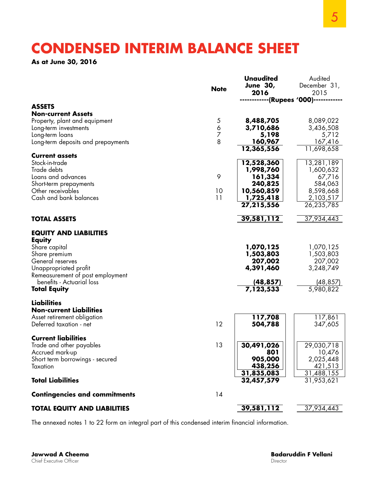### **CONDENSED INTERIM BALANCE SHEET**

**As at June 30, 2016** 

| <b>Note</b><br>2016<br>2015<br>--------(Rupees '000)------<br><b>ASSETS</b><br><b>Non-current Assets</b><br>8,089,022<br>8,488,705<br>Property, plant and equipment<br>5<br>6<br>3,710,686<br>3,436,508<br>Long-term investments<br>7<br>5,198<br>5,712<br>Long-term loans<br>8<br>Long-term deposits and prepayments<br>160,967<br>167,416<br>12,365,556<br>11,698,658<br><b>Current assets</b><br>13,281,189<br>Stock-in-trade<br>12,528,360<br>1,998,760<br>Trade debts<br>1,600,632<br>9<br>Loans and advances<br>161,334<br>67,716<br>Short-term prepayments<br>240,825<br>584,063<br>10<br>8,598,668<br>Other receivables<br>10,560,859<br>11<br>1,725,418<br>2,103,517<br>Cash and bank balances<br>26,235,785<br>27,215,556<br>37,934,443<br>39,581,112<br><b>TOTAL ASSETS</b><br><b>EQUITY AND LIABILITIES</b><br>Equity<br>Share capital<br>1,070,125<br>1,070,125<br>1,503,803<br>1,503,803<br>Share premium<br>General reserves<br>207,002<br>207,002<br>4,391,460<br>3,248,749<br>Unappropriated profit<br>Remeasurement of post employment<br>benefits - Actuarial loss<br>(48, 857)<br>(48, 857)<br>5,980,822<br>7,123,533<br><b>Total Equity</b><br><b>Liabilities</b><br><b>Non-current Liabilities</b><br>117,861<br>Asset retirement obligation<br>117,708<br>12<br>Deferred taxation - net<br>504,788<br>347,605<br><b>Current liabilities</b><br>13<br>30,491,026<br>29,030,718<br>Trade and other payables<br>801<br>Accrued mark-up<br>10,476<br>905,000<br>2,025,448<br>Short term borrowings - secured<br>421,513<br>438,256<br>Taxation<br>31,488,155<br>31,835,083<br><b>Total Liabilities</b><br>31,953,621<br>32,457,579<br>14<br><b>Contingencies and commitments</b><br>39,581,112<br>37,934,443<br><b>TOTAL EQUITY AND LIABILITIES</b> |  | <b>Unaudited</b><br><b>June 30,</b> | Audited<br>December 31, |
|------------------------------------------------------------------------------------------------------------------------------------------------------------------------------------------------------------------------------------------------------------------------------------------------------------------------------------------------------------------------------------------------------------------------------------------------------------------------------------------------------------------------------------------------------------------------------------------------------------------------------------------------------------------------------------------------------------------------------------------------------------------------------------------------------------------------------------------------------------------------------------------------------------------------------------------------------------------------------------------------------------------------------------------------------------------------------------------------------------------------------------------------------------------------------------------------------------------------------------------------------------------------------------------------------------------------------------------------------------------------------------------------------------------------------------------------------------------------------------------------------------------------------------------------------------------------------------------------------------------------------------------------------------------------------------------------------------------------------------------------------------------------|--|-------------------------------------|-------------------------|
|                                                                                                                                                                                                                                                                                                                                                                                                                                                                                                                                                                                                                                                                                                                                                                                                                                                                                                                                                                                                                                                                                                                                                                                                                                                                                                                                                                                                                                                                                                                                                                                                                                                                                                                                                                        |  |                                     |                         |
|                                                                                                                                                                                                                                                                                                                                                                                                                                                                                                                                                                                                                                                                                                                                                                                                                                                                                                                                                                                                                                                                                                                                                                                                                                                                                                                                                                                                                                                                                                                                                                                                                                                                                                                                                                        |  |                                     |                         |
|                                                                                                                                                                                                                                                                                                                                                                                                                                                                                                                                                                                                                                                                                                                                                                                                                                                                                                                                                                                                                                                                                                                                                                                                                                                                                                                                                                                                                                                                                                                                                                                                                                                                                                                                                                        |  |                                     |                         |
|                                                                                                                                                                                                                                                                                                                                                                                                                                                                                                                                                                                                                                                                                                                                                                                                                                                                                                                                                                                                                                                                                                                                                                                                                                                                                                                                                                                                                                                                                                                                                                                                                                                                                                                                                                        |  |                                     |                         |
|                                                                                                                                                                                                                                                                                                                                                                                                                                                                                                                                                                                                                                                                                                                                                                                                                                                                                                                                                                                                                                                                                                                                                                                                                                                                                                                                                                                                                                                                                                                                                                                                                                                                                                                                                                        |  |                                     |                         |
|                                                                                                                                                                                                                                                                                                                                                                                                                                                                                                                                                                                                                                                                                                                                                                                                                                                                                                                                                                                                                                                                                                                                                                                                                                                                                                                                                                                                                                                                                                                                                                                                                                                                                                                                                                        |  |                                     |                         |
|                                                                                                                                                                                                                                                                                                                                                                                                                                                                                                                                                                                                                                                                                                                                                                                                                                                                                                                                                                                                                                                                                                                                                                                                                                                                                                                                                                                                                                                                                                                                                                                                                                                                                                                                                                        |  |                                     |                         |
|                                                                                                                                                                                                                                                                                                                                                                                                                                                                                                                                                                                                                                                                                                                                                                                                                                                                                                                                                                                                                                                                                                                                                                                                                                                                                                                                                                                                                                                                                                                                                                                                                                                                                                                                                                        |  |                                     |                         |
|                                                                                                                                                                                                                                                                                                                                                                                                                                                                                                                                                                                                                                                                                                                                                                                                                                                                                                                                                                                                                                                                                                                                                                                                                                                                                                                                                                                                                                                                                                                                                                                                                                                                                                                                                                        |  |                                     |                         |
|                                                                                                                                                                                                                                                                                                                                                                                                                                                                                                                                                                                                                                                                                                                                                                                                                                                                                                                                                                                                                                                                                                                                                                                                                                                                                                                                                                                                                                                                                                                                                                                                                                                                                                                                                                        |  |                                     |                         |
|                                                                                                                                                                                                                                                                                                                                                                                                                                                                                                                                                                                                                                                                                                                                                                                                                                                                                                                                                                                                                                                                                                                                                                                                                                                                                                                                                                                                                                                                                                                                                                                                                                                                                                                                                                        |  |                                     |                         |
|                                                                                                                                                                                                                                                                                                                                                                                                                                                                                                                                                                                                                                                                                                                                                                                                                                                                                                                                                                                                                                                                                                                                                                                                                                                                                                                                                                                                                                                                                                                                                                                                                                                                                                                                                                        |  |                                     |                         |
|                                                                                                                                                                                                                                                                                                                                                                                                                                                                                                                                                                                                                                                                                                                                                                                                                                                                                                                                                                                                                                                                                                                                                                                                                                                                                                                                                                                                                                                                                                                                                                                                                                                                                                                                                                        |  |                                     |                         |
|                                                                                                                                                                                                                                                                                                                                                                                                                                                                                                                                                                                                                                                                                                                                                                                                                                                                                                                                                                                                                                                                                                                                                                                                                                                                                                                                                                                                                                                                                                                                                                                                                                                                                                                                                                        |  |                                     |                         |
|                                                                                                                                                                                                                                                                                                                                                                                                                                                                                                                                                                                                                                                                                                                                                                                                                                                                                                                                                                                                                                                                                                                                                                                                                                                                                                                                                                                                                                                                                                                                                                                                                                                                                                                                                                        |  |                                     |                         |
|                                                                                                                                                                                                                                                                                                                                                                                                                                                                                                                                                                                                                                                                                                                                                                                                                                                                                                                                                                                                                                                                                                                                                                                                                                                                                                                                                                                                                                                                                                                                                                                                                                                                                                                                                                        |  |                                     |                         |
|                                                                                                                                                                                                                                                                                                                                                                                                                                                                                                                                                                                                                                                                                                                                                                                                                                                                                                                                                                                                                                                                                                                                                                                                                                                                                                                                                                                                                                                                                                                                                                                                                                                                                                                                                                        |  |                                     |                         |
|                                                                                                                                                                                                                                                                                                                                                                                                                                                                                                                                                                                                                                                                                                                                                                                                                                                                                                                                                                                                                                                                                                                                                                                                                                                                                                                                                                                                                                                                                                                                                                                                                                                                                                                                                                        |  |                                     |                         |
|                                                                                                                                                                                                                                                                                                                                                                                                                                                                                                                                                                                                                                                                                                                                                                                                                                                                                                                                                                                                                                                                                                                                                                                                                                                                                                                                                                                                                                                                                                                                                                                                                                                                                                                                                                        |  |                                     |                         |
|                                                                                                                                                                                                                                                                                                                                                                                                                                                                                                                                                                                                                                                                                                                                                                                                                                                                                                                                                                                                                                                                                                                                                                                                                                                                                                                                                                                                                                                                                                                                                                                                                                                                                                                                                                        |  |                                     |                         |
|                                                                                                                                                                                                                                                                                                                                                                                                                                                                                                                                                                                                                                                                                                                                                                                                                                                                                                                                                                                                                                                                                                                                                                                                                                                                                                                                                                                                                                                                                                                                                                                                                                                                                                                                                                        |  |                                     |                         |
|                                                                                                                                                                                                                                                                                                                                                                                                                                                                                                                                                                                                                                                                                                                                                                                                                                                                                                                                                                                                                                                                                                                                                                                                                                                                                                                                                                                                                                                                                                                                                                                                                                                                                                                                                                        |  |                                     |                         |
|                                                                                                                                                                                                                                                                                                                                                                                                                                                                                                                                                                                                                                                                                                                                                                                                                                                                                                                                                                                                                                                                                                                                                                                                                                                                                                                                                                                                                                                                                                                                                                                                                                                                                                                                                                        |  |                                     |                         |
|                                                                                                                                                                                                                                                                                                                                                                                                                                                                                                                                                                                                                                                                                                                                                                                                                                                                                                                                                                                                                                                                                                                                                                                                                                                                                                                                                                                                                                                                                                                                                                                                                                                                                                                                                                        |  |                                     |                         |
|                                                                                                                                                                                                                                                                                                                                                                                                                                                                                                                                                                                                                                                                                                                                                                                                                                                                                                                                                                                                                                                                                                                                                                                                                                                                                                                                                                                                                                                                                                                                                                                                                                                                                                                                                                        |  |                                     |                         |
|                                                                                                                                                                                                                                                                                                                                                                                                                                                                                                                                                                                                                                                                                                                                                                                                                                                                                                                                                                                                                                                                                                                                                                                                                                                                                                                                                                                                                                                                                                                                                                                                                                                                                                                                                                        |  |                                     |                         |
|                                                                                                                                                                                                                                                                                                                                                                                                                                                                                                                                                                                                                                                                                                                                                                                                                                                                                                                                                                                                                                                                                                                                                                                                                                                                                                                                                                                                                                                                                                                                                                                                                                                                                                                                                                        |  |                                     |                         |
|                                                                                                                                                                                                                                                                                                                                                                                                                                                                                                                                                                                                                                                                                                                                                                                                                                                                                                                                                                                                                                                                                                                                                                                                                                                                                                                                                                                                                                                                                                                                                                                                                                                                                                                                                                        |  |                                     |                         |
|                                                                                                                                                                                                                                                                                                                                                                                                                                                                                                                                                                                                                                                                                                                                                                                                                                                                                                                                                                                                                                                                                                                                                                                                                                                                                                                                                                                                                                                                                                                                                                                                                                                                                                                                                                        |  |                                     |                         |
|                                                                                                                                                                                                                                                                                                                                                                                                                                                                                                                                                                                                                                                                                                                                                                                                                                                                                                                                                                                                                                                                                                                                                                                                                                                                                                                                                                                                                                                                                                                                                                                                                                                                                                                                                                        |  |                                     |                         |
|                                                                                                                                                                                                                                                                                                                                                                                                                                                                                                                                                                                                                                                                                                                                                                                                                                                                                                                                                                                                                                                                                                                                                                                                                                                                                                                                                                                                                                                                                                                                                                                                                                                                                                                                                                        |  |                                     |                         |
|                                                                                                                                                                                                                                                                                                                                                                                                                                                                                                                                                                                                                                                                                                                                                                                                                                                                                                                                                                                                                                                                                                                                                                                                                                                                                                                                                                                                                                                                                                                                                                                                                                                                                                                                                                        |  |                                     |                         |
|                                                                                                                                                                                                                                                                                                                                                                                                                                                                                                                                                                                                                                                                                                                                                                                                                                                                                                                                                                                                                                                                                                                                                                                                                                                                                                                                                                                                                                                                                                                                                                                                                                                                                                                                                                        |  |                                     |                         |
|                                                                                                                                                                                                                                                                                                                                                                                                                                                                                                                                                                                                                                                                                                                                                                                                                                                                                                                                                                                                                                                                                                                                                                                                                                                                                                                                                                                                                                                                                                                                                                                                                                                                                                                                                                        |  |                                     |                         |
|                                                                                                                                                                                                                                                                                                                                                                                                                                                                                                                                                                                                                                                                                                                                                                                                                                                                                                                                                                                                                                                                                                                                                                                                                                                                                                                                                                                                                                                                                                                                                                                                                                                                                                                                                                        |  |                                     |                         |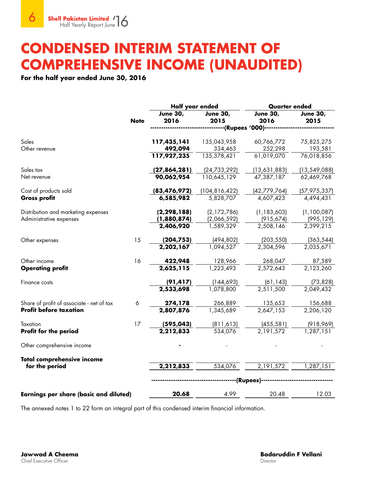### **CONDENSED INTERIM STATEMENT OF COMPREHENSIVE INCOME (UNAUDITED)**

### **For the half year ended June 30, 2016**

|                                               |             | Half year ended         |                               | <b>Quarter ended</b>    |                         |
|-----------------------------------------------|-------------|-------------------------|-------------------------------|-------------------------|-------------------------|
|                                               | <b>Note</b> | <b>June 30,</b><br>2016 | <b>June 30,</b><br>2015       | <b>June 30,</b><br>2016 | <b>June 30,</b><br>2015 |
|                                               |             |                         | ----------(Rupees '000)------ |                         |                         |
| Sales                                         |             | 117,435,141             | 135,043,958                   | 60,766,772              | 75,825,275              |
| Other revenue                                 |             | 492,094                 | 334,463                       | 252,298                 | 193,581                 |
|                                               |             | 117,927,235             | 135,378,421                   | 61,019,070              | 76,018,856              |
| Sales tax                                     |             | (27,864,281)            | (24, 733, 292)                | (13,631,883)            | (13, 549, 088)          |
| Net revenue                                   |             | 90,062,954              | 110,645,129                   | 47,387,187              | 62,469,768              |
| Cost of products sold                         |             | (83, 476, 972)          | (104, 816, 422)               | (42, 779, 764)          | (57,975,337)            |
| <b>Gross profit</b>                           |             | 6,585,982               | 5,828,707                     | 4,607,423               | 4,494,431               |
| Distribution and marketing expenses           |             | (2, 298, 188)           | (2, 172, 786)                 | (1, 183, 603)           | (1,100,087)             |
| Administrative expenses                       |             | (1,880,874)             | (2,066,592)                   | (915, 674)              | (995, 129)              |
|                                               |             | 2,406,920               | 1,589,329                     | 2,508,146               | 2,399,215               |
| Other expenses                                | 15          | (204, 753)              | (494, 802)                    | (203, 550)              | (363, 544)              |
|                                               |             | 2,202,167               | 1,094,527                     | 2,304,596               | 2,035,671               |
| Other income                                  | 16          | 422,948                 | 128,966                       | 268,047                 | 87,589                  |
| <b>Operating profit</b>                       |             | 2,625,115               | 1,223,493                     | 2,572,643               | 2,123,260               |
| Finance costs                                 |             | (91, 417)               | (144, 693)                    | (61, 143)               | (73, 828)               |
|                                               |             | 2,533,698               | 1,078,800                     | 2,511,500               | 2,049,432               |
| Share of profit of associate - net of tax     | 6           | 274,178                 | 266,889                       | 135,653                 | 156,688                 |
| <b>Profit before taxation</b>                 |             | 2,807,876               | 1,345,689                     | 2,647,153               | 2,206,120               |
| Taxation                                      | 17          | (595, 043)              | (811, 613)                    | (455, 581)              | (918, 969)              |
| Profit for the period                         |             | 2,212,833               | 534,076                       | 2,191,572               | 1,287,151               |
| Other comprehensive income                    |             |                         |                               |                         |                         |
| <b>Total comprehensive income</b>             |             |                         |                               |                         |                         |
| for the period                                |             | 2,212,833               | 534,076                       | 2,191,572               | $\frac{1}{287,151}$     |
|                                               |             |                         | -------(Rupees)--             |                         |                         |
| <b>Earnings per share (basic and diluted)</b> |             | 20.68                   | 4.99                          | 20.48                   | 12.03                   |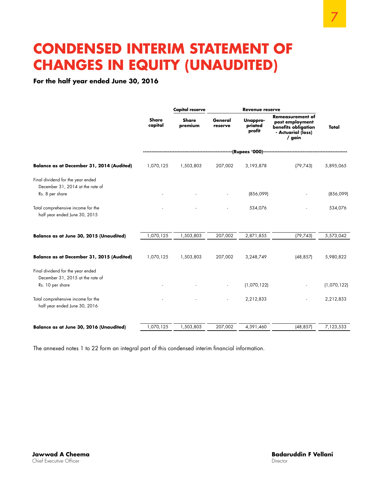### **CONDENSED INTERIM STATEMENT OF CHANGES IN EQUITY (UNAUDITED)**

**For the half year ended June 30, 2016**

|                                                                                           |                         | <b>Capital reserve</b>  | <b>Revenue reserve</b> |                               |                                                                                                   |             |
|-------------------------------------------------------------------------------------------|-------------------------|-------------------------|------------------------|-------------------------------|---------------------------------------------------------------------------------------------------|-------------|
|                                                                                           | <b>Share</b><br>capital | <b>Share</b><br>premium | General<br>reserve     | Unappro-<br>priated<br>profit | <b>Remeasurement of</b><br>post employment<br>benefits obligation<br>- Actuarial (loss)<br>/ gain | Total       |
|                                                                                           |                         |                         |                        |                               | ----------------(Rupees '000)--------------------------                                           |             |
| <b>Balance as at December 31, 2014 (Audited)</b>                                          | 1,070,125               | 1,503,803               | 207,002                | 3,193,878                     | (79, 743)                                                                                         | 5,895,065   |
| Final dividend for the year ended<br>December 31, 2014 at the rate of<br>Rs. 8 per share  |                         |                         |                        | (856,099)                     |                                                                                                   | (856,099)   |
| Total comprehensive income for the<br>half year ended June 30, 2015                       |                         |                         |                        | 534,076                       |                                                                                                   | 534,076     |
| Balance as at June 30, 2015 (Unaudited)                                                   | 1,070,125               | 1,503,803               | 207,002                | 2,871,855                     | (79, 743)                                                                                         | 5,573,042   |
| Balance as at December 31, 2015 (Audited)                                                 | 1,070,125               | 1,503,803               | 207,002                | 3,248,749                     | (48, 857)                                                                                         | 5,980,822   |
| Final dividend for the year ended<br>December 31, 2015 at the rate of<br>Rs. 10 per share |                         |                         |                        | (1,070,122)                   |                                                                                                   | (1,070,122) |
| Total comprehensive income for the<br>half year ended June 30, 2016                       |                         |                         |                        | 2,212,833                     |                                                                                                   | 2,212,833   |
| Balance as at June 30, 2016 (Unaudited)                                                   | 1,070,125               | 1,503,803               | 207,002                | 4,391,460                     | (48, 857)                                                                                         | 7,123,533   |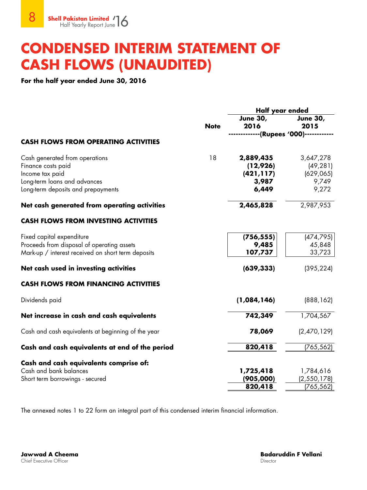### **CONDENSED INTERIM STATEMENT OF CASH FLOWS (UNAUDITED)**

**For the half year ended June 30, 2016**

|                                                    |             | Half year ended         |                         |  |
|----------------------------------------------------|-------------|-------------------------|-------------------------|--|
|                                                    | <b>Note</b> | <b>June 30,</b><br>2016 | <b>June 30,</b><br>2015 |  |
|                                                    |             | --(Rupees '000)--       |                         |  |
| <b>CASH FLOWS FROM OPERATING ACTIVITIES</b>        |             |                         |                         |  |
| Cash generated from operations                     | 18          | 2,889,435               | 3,647,278               |  |
| Finance costs paid                                 |             | (12,926)                | (49, 281)               |  |
| Income tax paid                                    |             | (421, 117)              | (629, 065)              |  |
| Long-term loans and advances                       |             | 3,987                   | 9,749                   |  |
| Long-term deposits and prepayments                 |             | 6,449                   | 9,272                   |  |
| Net cash generated from operating activities       |             | 2,465,828               | 2,987,953               |  |
| <b>CASH FLOWS FROM INVESTING ACTIVITIES</b>        |             |                         |                         |  |
| Fixed capital expenditure                          |             | (756, 555)              | (474, 795)              |  |
| Proceeds from disposal of operating assets         |             | 9,485                   | 45,848                  |  |
| Mark-up / interest received on short term deposits |             | 107,737                 | 33,723                  |  |
| Net cash used in investing activities              |             | (639, 333)              | (395, 224)              |  |
| <b>CASH FLOWS FROM FINANCING ACTIVITIES</b>        |             |                         |                         |  |
| Dividends paid                                     |             | (1,084,146)             | (888, 162)              |  |
| Net increase in cash and cash equivalents          |             | 742,349                 | 1,704,567               |  |
| Cash and cash equivalents at beginning of the year |             | 78,069                  | (2,470,129)             |  |
| Cash and cash equivalents at end of the period     |             | 820,418                 | (765, 562)              |  |
| Cash and cash equivalents comprise of:             |             |                         |                         |  |
| Cash and bank balances                             |             | 1,725,418               | 1,784,616               |  |
| Short term borrowings - secured                    |             | (905,000)               | (2, 550, 178)           |  |
|                                                    |             | 820,418                 | (765, 562)              |  |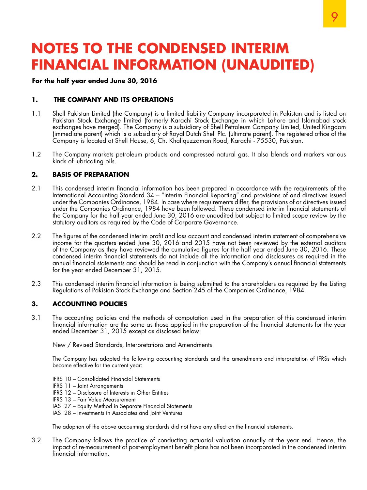### **For the half year ended June 30, 2016**

### **1. THE COMPANY AND ITS OPERATIONS**

- 1.1 Shell Pakistan Limited (the Company) is a limited liability Company incorporated in Pakistan and is listed on Pakistan Stock Exchange limited (formerly Karachi Stock Exchange in which Lahore and Islamabad stock exchanges have merged). The Company is a subsidiary of Shell Petroleum Company Limited, United Kingdom (immediate parent) which is a subsidiary of Royal Dutch Shell Plc. (ultimate parent). The registered office of the Company is located at Shell House, 6, Ch. Khaliquzzaman Road, Karachi - 75530, Pakistan.
- 1.2 The Company markets petroleum products and compressed natural gas. It also blends and markets various kinds of lubricating oils.

### **2. BASIS OF PREPARATION**

- 2.1 This condensed interim financial information has been prepared in accordance with the requirements of the International Accounting Standard 34 – "Interim Financial Reporting" and provisions of and directives issued under the Companies Ordinance, 1984. In case where requirements differ, the provisions of or directives issued under the Companies Ordinance, 1984 have been followed. These condensed interim financial statements of the Company for the half year ended June 30, 2016 are unaudited but subject to limited scope review by the statutory auditors as required by the Code of Corporate Governance.
- 2.2 The figures of the condensed interim profit and loss account and condensed interim statement of comprehensive income for the quarters ended June 30, 2016 and 2015 have not been reviewed by the external auditors of the Company as they have reviewed the cumulative figures for the half year ended June 30, 2016. These condensed interim financial statements do not include all the information and disclosures as required in the annual financial statements and should be read in conjunction with the Company's annual financial statements for the year ended December 31, 2015.
- 2.3 This condensed interim financial information is being submitted to the shareholders as required by the Listing Regulations of Pakistan Stock Exchange and Section 245 of the Companies Ordinance, 1984.

### **3. ACCOUNTING POLICIES**

3.1 The accounting policies and the methods of computation used in the preparation of this condensed interim financial information are the same as those applied in the preparation of the financial statements for the year ended December 31, 2015 except as disclosed below:

New / Revised Standards, Interpretations and Amendments

The Company has adopted the following accounting standards and the amendments and interpretation of IFRSs which became effective for the current year:

- IFRS 10 Consolidated Financial Statements
- IFRS 11 Joint Arrangements
- IFRS 12 Disclosure of Interests in Other Entities
- IFRS 13 Fair Value Measurement
- IAS 27 Equity Method in Separate Financial Statements
- IAS 28 Investments in Associates and Joint Ventures

The adoption of the above accounting standards did not have any effect on the financial statements.

3.2 The Company follows the practice of conducting actuarial valuation annually at the year end. Hence, the impact of re-measurement of post-employment benefit plans has not been incorporated in the condensed interim financial information.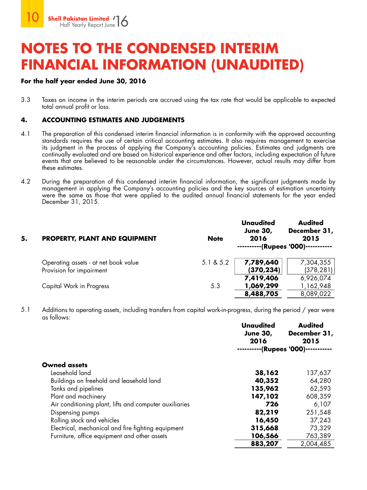### **For the half year ended June 30, 2016**

3.3 Taxes on income in the interim periods are accrued using the tax rate that would be applicable to expected total annual profit or loss.

### **4. ACCOUNTING ESTIMATES AND JUDGEMENTS**

- 4.1 The preparation of this condensed interim financial information is in conformity with the approved accounting standards requires the use of certain critical accounting estimates. It also requires management to exercise its judgment in the process of applying the Company's accounting policies. Estimates and judgments are continually evaluated and are based on historical experience and other factors, including expectation of future events that are believed to be reasonable under the circumstances. However, actual results may differ from these estimates.
- 4.2 During the preparation of this condensed interim financial information, the significant judgments made by management in applying the Company's accounting policies and the key sources of estimation uncertainty were the same as those that were applied to the audited annual financial statements for the year ended December 31, 2015.

| 5. | <b>PROPERTY, PLANT AND EQUIPMENT</b> | <b>Note</b> | <b>Unaudited</b><br><b>June 30,</b><br>2016 | <b>Audited</b><br>December 31,<br>2015<br>----------(Rupees '000)----------- |
|----|--------------------------------------|-------------|---------------------------------------------|------------------------------------------------------------------------------|
|    | Operating assets - at net book value | 5.1 & 5.2   | 7,789,640                                   | 7,304,355                                                                    |
|    | Provision for impairment             |             | (370, 234)                                  | (378, 281)                                                                   |
|    |                                      |             | 7,419,406                                   | 6,926,074                                                                    |
|    | Capital Work in Progress             | 5.3         | 1,069,299                                   | 1,162,948                                                                    |
|    |                                      |             | 8,488,705                                   | 8,089,022                                                                    |

5.1 Additions to operating assets, including transfers from capital work-in-progress, during the period / year were as follows:

|                                                        | <b>Unaudited</b><br><b>June 30,</b><br>2016 | <b>Audited</b><br>December 31,<br>2015 |
|--------------------------------------------------------|---------------------------------------------|----------------------------------------|
|                                                        |                                             | -(Rupees '000)-                        |
| <b>Owned assets</b>                                    |                                             |                                        |
| Leasehold land                                         | 38,162                                      | 137,637                                |
| Buildings on freehold and leasehold land               | 40,352                                      | 64,280                                 |
| Tanks and pipelines                                    | 135,962                                     | 62,593                                 |
| Plant and machinery                                    | 147,102                                     | 608,359                                |
| Air conditioning plant, lifts and computer auxiliaries | 726                                         | 6,107                                  |
| Dispensing pumps                                       | 82,219                                      | 251,548                                |
| Rolling stock and vehicles                             | 16,450                                      | 37,243                                 |
| Electrical, mechanical and fire fighting equipment     | 315,668                                     | 73,329                                 |
| Furniture, office equipment and other assets           | 106,566                                     | 763,389                                |
|                                                        | 883,207                                     | 2,004,485                              |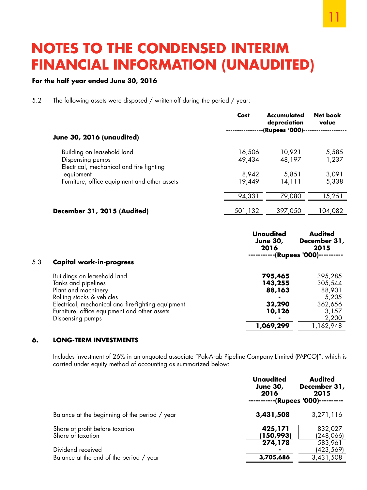### **For the half year ended June 30, 2016**

5.2 The following assets were disposed / written-off during the period / year:

| June 30, 2016 (unaudited)                             | Cost             | <b>Accumulated</b><br>depreciation<br>-(Rupees '000)- | Net book<br>value |
|-------------------------------------------------------|------------------|-------------------------------------------------------|-------------------|
|                                                       |                  |                                                       |                   |
| Building on leasehold land<br>Dispensing pumps        | 16,506<br>49,434 | 10,921<br>48,197                                      | 5,585<br>1,237    |
| Electrical, mechanical and fire fighting<br>equipment | 8,942            | 5,851                                                 | 3,091             |
| Furniture, office equipment and other assets          | 19,449           | 14,111                                                | 5,338             |
|                                                       |                  |                                                       |                   |
|                                                       | 94,331           | 79,080                                                | 15,251            |
| December 31, 2015 (Audited)                           | 501,132          | 397,050                                               | 104,082           |

| 5.3 | <b>Capital work-in-progress</b>                    | Unaudited<br><b>June 30,</b><br>2016 | <b>Audited</b><br>December 31,<br>2015<br>-(Rupees '000)-- |
|-----|----------------------------------------------------|--------------------------------------|------------------------------------------------------------|
|     | Buildings on leasehold land                        | 795,465                              | 395,285                                                    |
|     | Tanks and pipelines                                | 143,255                              | 305,544                                                    |
|     | Plant and machinery                                | 88,163                               | 88,901                                                     |
|     | Rolling stocks & vehicles                          |                                      | 5,205                                                      |
|     | Electrical, mechanical and fire-fighting equipment | 32,290                               | 362,656                                                    |
|     | Furniture, office equipment and other assets       | 10,126                               | 3,157                                                      |
|     | Dispensing pumps                                   |                                      | 2,200                                                      |
|     |                                                    | 1,069,299                            | 1,162,948                                                  |

### **6. LONG-TERM INVESTMENTS**

Includes investment of 26% in an unquoted associate "Pak-Arab Pipeline Company Limited (PAPCO)", which is carried under equity method of accounting as summarized below:

|                                                              | <b>Unaudited</b><br><b>June 30,</b><br>2016 | <b>Audited</b><br>December 31,<br>2015<br>----(Rupees '000) |
|--------------------------------------------------------------|---------------------------------------------|-------------------------------------------------------------|
| Balance at the beginning of the period / year                | 3,431,508                                   | 3,271,116                                                   |
| Share of profit before taxation<br>Share of taxation         | 425,171<br>(150,993)                        | 832,027<br>(248,066)                                        |
| Dividend received<br>Balance at the end of the period / year | 274,178<br>3,705,686                        | 583,961<br>(423,569)<br>3,431,508                           |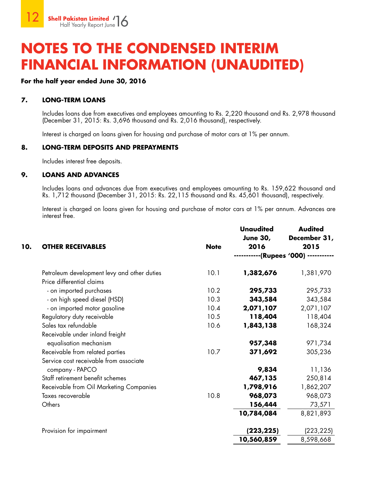### **For the half year ended June 30, 2016**

### **7. LONG-TERM LOANS**

Includes loans due from executives and employees amounting to Rs. 2,220 thousand and Rs. 2,978 thousand (December 31, 2015: Rs. 3,696 thousand and Rs. 2,016 thousand), respectively.

Interest is charged on loans given for housing and purchase of motor cars at 1% per annum.

### **8. LONG-TERM DEPOSITS AND PREPAYMENTS**

Includes interest free deposits.

### **9. LOANS AND ADVANCES**

Includes loans and advances due from executives and employees amounting to Rs. 159,622 thousand and Rs. 1,712 thousand (December 31, 2015: Rs. 22,115 thousand and Rs. 45,601 thousand), respectively.

Interest is charged on loans given for housing and purchase of motor cars at 1% per annum. Advances are interest free.

|     |                                             |             | <b>Unaudited</b><br><b>June 30,</b> | <b>Audited</b><br>December 31, |
|-----|---------------------------------------------|-------------|-------------------------------------|--------------------------------|
| 10. | <b>OTHER RECEIVABLES</b>                    | <b>Note</b> | 2016                                | 2015                           |
|     |                                             |             |                                     | -(Rupees '000) --              |
|     | Petroleum development levy and other duties | 10.1        | 1,382,676                           | 1,381,970                      |
|     | Price differential claims                   |             |                                     |                                |
|     | - on imported purchases                     | 10.2        | 295,733                             | 295,733                        |
|     | - on high speed diesel (HSD)                | 10.3        | 343,584                             | 343,584                        |
|     | - on imported motor gasoline                | 10.4        | 2,071,107                           | 2,071,107                      |
|     | Regulatory duty receivable                  | 10.5        | 118,404                             | 118,404                        |
|     | Sales tax refundable                        | 10.6        | 1,843,138                           | 168,324                        |
|     | Receivable under inland freight             |             |                                     |                                |
|     | equalisation mechanism                      |             | 957,348                             | 971,734                        |
|     | Receivable from related parties             | 10.7        | 371,692                             | 305,236                        |
|     | Service cost receivable from associate      |             |                                     |                                |
|     | company - PAPCO                             |             | 9,834                               | 11,136                         |
|     | Staff retirement benefit schemes            |             | 467,135                             | 250,814                        |
|     | Receivable from Oil Marketing Companies     |             | 1,798,916                           | 1,862,207                      |
|     | Taxes recoverable                           | 10.8        | 968,073                             | 968,073                        |
|     | Others                                      |             | 156,444                             | 73,571                         |
|     |                                             |             | 10,784,084                          | 8,821,893                      |
|     | Provision for impairment                    |             | (223, 225)                          | (223,225)                      |
|     |                                             |             | 10,560,859                          | 8,598,668                      |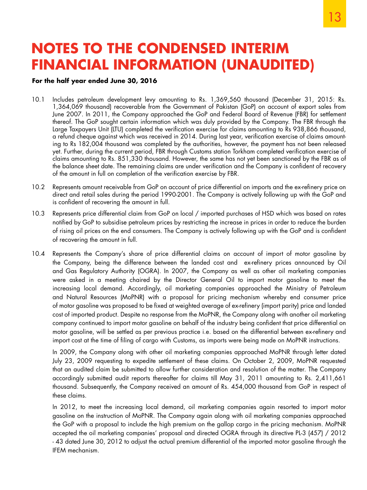### **For the half year ended June 30, 2016**

- 10.1 Includes petroleum development levy amounting to Rs. 1,369,560 thousand (December 31, 2015: Rs. 1,364,069 thousand) recoverable from the Government of Pakistan (GoP) on account of export sales from June 2007. In 2011, the Company approached the GoP and Federal Board of Revenue (FBR) for settlement thereof. The GoP sought certain information which was duly provided by the Company. The FBR through the Large Taxpayers Unit (LTU) completed the verification exercise for claims amounting to Rs 938,866 thousand, a refund cheque against which was received in 2014. During last year, verification exercise of claims amounting to Rs 182,004 thousand was completed by the authorities, however, the payment has not been released yet. Further, during the current period, FBR through Customs station Torkham completed verification exercise of claims amounting to Rs. 851,330 thousand. However, the same has not yet been sanctioned by the FBR as of the balance sheet date. The remaining claims are under verification and the Company is confident of recovery of the amount in full on completion of the verification exercise by FBR.
- 10.2 Represents amount receivable from GoP on account of price differential on imports and the ex-refinery price on direct and retail sales during the period 1990-2001. The Company is actively following up with the GoP and is confident of recovering the amount in full.
- 10.3 Represents price differential claim from GoP on local / imported purchases of HSD which was based on rates notified by GoP to subsidise petroleum prices by restricting the increase in prices in order to reduce the burden of rising oil prices on the end consumers. The Company is actively following up with the GoP and is confident of recovering the amount in full.
- 10.4 Represents the Company's share of price differential claims on account of import of motor gasoline by the Company, being the difference between the landed cost and ex-refinery prices announced by Oil and Gas Regulatory Authority (OGRA). In 2007, the Company as well as other oil marketing companies were asked in a meeting chaired by the Director General Oil to import motor gasoline to meet the increasing local demand. Accordingly, oil marketing companies approached the Ministry of Petroleum and Natural Resources (MoPNR) with a proposal for pricing mechanism whereby end consumer price of motor gasoline was proposed to be fixed at weighted average of ex-refinery (import parity) price and landed cost of imported product. Despite no response from the MoPNR, the Company along with another oil marketing company continued to import motor gasoline on behalf of the industry being confident that price differential on motor gasoline, will be settled as per previous practice i.e. based on the differential between ex-refinery and import cost at the time of filing of cargo with Customs, as imports were being made on MoPNR instructions.

In 2009, the Company along with other oil marketing companies approached MoPNR through letter dated July 23, 2009 requesting to expedite settlement of these claims. On October 2, 2009, MoPNR requested that an audited claim be submitted to allow further consideration and resolution of the matter. The Company accordingly submitted audit reports thereafter for claims till May 31, 2011 amounting to Rs. 2,411,661 thousand. Subsequently, the Company received an amount of Rs. 454,000 thousand from GoP in respect of these claims.

In 2012, to meet the increasing local demand, oil marketing companies again resorted to import motor gasoline on the instruction of MoPNR. The Company again along with oil marketing companies approached the GoP with a proposal to include the high premium on the gallop cargo in the pricing mechanism. MoPNR accepted the oil marketing companies' proposal and directed OGRA through its directive PL-3 (457) / 2012 - 43 dated June 30, 2012 to adjust the actual premium differential of the imported motor gasoline through the IFEM mechanism.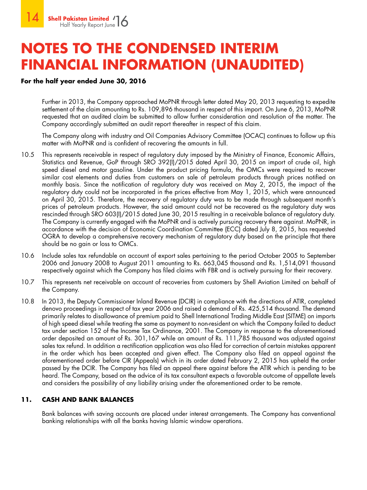### **For the half year ended June 30, 2016**

Further in 2013, the Company approached MoPNR through letter dated May 20, 2013 requesting to expedite settlement of the claim amounting to Rs. 109,896 thousand in respect of this import. On June 6, 2013, MoPNR requested that an audited claim be submitted to allow further consideration and resolution of the matter. The Company accordingly submitted an audit report thereafter in respect of this claim.

The Company along with industry and Oil Companies Advisory Committee (OCAC) continues to follow up this matter with MoPNR and is confident of recovering the amounts in full.

- 10.5 This represents receivable in respect of regulatory duty imposed by the Ministry of Finance, Economic Affairs, Statistics and Revenue, GoP through SRO 392(I)/2015 dated April 30, 2015 on import of crude oil, high speed diesel and motor gasoline. Under the product pricing formula, the OMCs were required to recover similar cost elements and duties from customers on sale of petroleum products through prices notified on monthly basis. Since the notification of regulatory duty was received on May 2, 2015, the impact of the regulatory duty could not be incorporated in the prices effective from May 1, 2015, which were announced on April 30, 2015. Therefore, the recovery of regulatory duty was to be made through subsequent month's prices of petroleum products. However, the said amount could not be recovered as the regulatory duty was rescinded through SRO 603(I)/2015 dated June 30, 2015 resulting in a receivable balance of regulatory duty. The Company is currently engaged with the MoPNR and is actively pursuing recovery there against. MoPNR, in accordance with the decision of Economic Coordination Committee (ECC) dated July 8, 2015, has requested OGRA to develop a comprehensive recovery mechanism of regulatory duty based on the principle that there should be no gain or loss to OMCs.
- 10.6 Include sales tax refundable on account of export sales pertaining to the period October 2005 to September 2006 and January 2008 to August 2011 amounting to Rs. 663,045 thousand and Rs. 1,514,091 thousand respectively against which the Company has filed claims with FBR and is actively pursuing for their recovery.
- 10.7 This represents net receivable on account of recoveries from customers by Shell Aviation Limited on behalf of the Company.
- 10.8 In 2013, the Deputy Commissioner Inland Revenue (DCIR) in compliance with the directions of ATIR, completed denovo proceedings in respect of tax year 2006 and raised a demand of Rs. 425,514 thousand. The demand primarily relates to disallowance of premium paid to Shell International Trading Middle East (SITME) on imports of high speed diesel while treating the same as payment to non-resident on which the Company failed to deduct tax under section 152 of the Income Tax Ordinance, 2001. The Company in response to the aforementioned order deposited an amount of Rs. 301,167 while an amount of Rs. 111,785 thousand was adjusted against sales tax refund. In addition a rectification application was also filed for correction of certain mistakes apparent in the order which has been accepted and given effect. The Company also filed an appeal against the aforementioned order before CIR (Appeals) which in its order dated February 2, 2015 has upheld the order passed by the DCIR. The Company has filed an appeal there against before the ATIR which is pending to be heard. The Company, based on the advice of its tax consultant expects a favorable outcome of appellate levels and considers the possibility of any liability arising under the aforementioned order to be remote.

### **11. CASH AND BANK BALANCES**

Bank balances with saving accounts are placed under interest arrangements. The Company has conventional banking relationships with all the banks having Islamic window operations.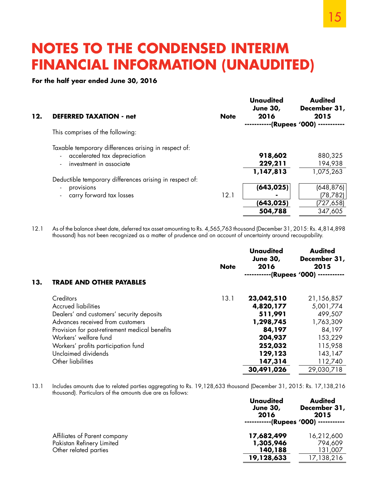### **For the half year ended June 30, 2016**

| 12. | <b>DEFERRED TAXATION - net</b>                          | <b>Note</b> | <b>Unaudited</b><br><b>June 30,</b><br>2016 | <b>Audited</b><br>December 31,<br>2015 |
|-----|---------------------------------------------------------|-------------|---------------------------------------------|----------------------------------------|
|     |                                                         |             |                                             | ·(Rupees '000) --                      |
|     | This comprises of the following:                        |             |                                             |                                        |
|     | Taxable temporary differences arising in respect of:    |             |                                             |                                        |
|     | - accelerated tax depreciation                          |             | 918,602                                     | 880,325                                |
|     | investment in associate                                 |             | 229,211                                     | 194,938                                |
|     |                                                         |             | 1,147,813                                   | 1,075,263                              |
|     | Deductible temporary differences arising in respect of: |             |                                             |                                        |
|     | provisions                                              |             | (643, 025)                                  | (648, 876)                             |
|     | - carry forward tax losses                              | 12.1        |                                             | (78, 782)                              |
|     |                                                         |             | (643,025)                                   | (727,658)                              |
|     |                                                         |             | 504,788                                     | 347,605                                |

12.1 As of the balance sheet date, deferred tax asset amounting to Rs. 4,565,763 thousand (December 31, 2015: Rs. 4,814,898 thousand) has not been recognized as a matter of prudence and on account of uncertainty around recoupability.

|     |                                                | <b>Note</b> | <b>Unaudited</b><br><b>June 30,</b><br>2016 | <b>Audited</b><br>December 31,<br>2015 |
|-----|------------------------------------------------|-------------|---------------------------------------------|----------------------------------------|
| 13. |                                                |             |                                             | -(Rupees '000) ------                  |
|     | <b>TRADE AND OTHER PAYABLES</b>                |             |                                             |                                        |
|     | Creditors                                      | 13.1        | 23,042,510                                  | 21,156,857                             |
|     | <b>Accrued liabilities</b>                     |             | 4,820,177                                   | 5,001,774                              |
|     | Dealers' and customers' security deposits      |             | 511,991                                     | 499,507                                |
|     | Advances received from customers               |             | 1,298,745                                   | 1,763,309                              |
|     | Provision for post-retirement medical benefits |             | 84,197                                      | 84,197                                 |
|     | Workers' welfare fund                          |             | 204,937                                     | 153,229                                |
|     | Workers' profits participation fund            |             | 252,032                                     | 115,958                                |
|     | Unclaimed dividends                            |             | 129,123                                     | 143,147                                |
|     | Other liabilities                              |             | 147,314                                     | 112,740                                |
|     |                                                |             | 30,491,026                                  | 29,030,718                             |

13.1 Includes amounts due to related parties aggregating to Rs. 19,128,633 thousand (December 31, 2015: Rs. 17,138,216 thousand). Particulars of the amounts due are as follows:

|                                                    | <b>Unaudited</b><br><b>June 30,</b><br>2016 | <b>Audited</b><br>December 31,<br>2015<br>--(Rupees '000) ----------- |
|----------------------------------------------------|---------------------------------------------|-----------------------------------------------------------------------|
| Affiliates of Parent company                       | 17,682,499                                  | 16,212,600                                                            |
| Pakistan Refinery Limited<br>Other related parties | 1,305,946<br>140,188                        | 794,609<br>131,007                                                    |
|                                                    | 19,128,633                                  | 17,138,216                                                            |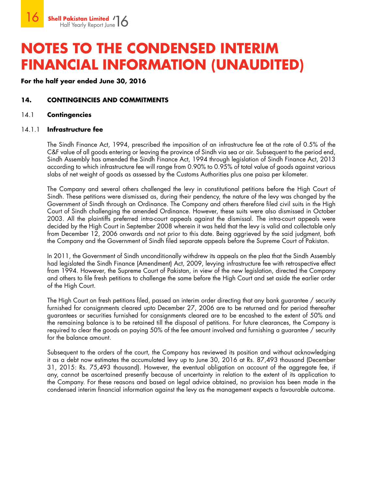**For the half year ended June 30, 2016**

### **14. CONTINGENCIES AND COMMITMENTS**

### 14.1 **Contingencies**

### 14.1.1 **Infrastructure fee**

The Sindh Finance Act, 1994, prescribed the imposition of an infrastructure fee at the rate of 0.5% of the C&F value of all goods entering or leaving the province of Sindh via sea or air. Subsequent to the period end, Sindh Assembly has amended the Sindh Finance Act, 1994 through legislation of Sindh Finance Act, 2013 according to which infrastructure fee will range from 0.90% to 0.95% of total value of goods against various slabs of net weight of goods as assessed by the Customs Authorities plus one paisa per kilometer.

The Company and several others challenged the levy in constitutional petitions before the High Court of Sindh. These petitions were dismissed as, during their pendency, the nature of the levy was changed by the Government of Sindh through an Ordinance. The Company and others therefore filed civil suits in the High Court of Sindh challenging the amended Ordinance. However, these suits were also dismissed in October 2003. All the plaintiffs preferred intra-court appeals against the dismissal. The intra-court appeals were decided by the High Court in September 2008 wherein it was held that the levy is valid and collectable only from December 12, 2006 onwards and not prior to this date. Being aggrieved by the said judgment, both the Company and the Government of Sindh filed separate appeals before the Supreme Court of Pakistan.

In 2011, the Government of Sindh unconditionally withdrew its appeals on the plea that the Sindh Assembly had legislated the Sindh Finance (Amendment) Act, 2009, levying infrastructure fee with retrospective effect from 1994. However, the Supreme Court of Pakistan, in view of the new legislation, directed the Company and others to file fresh petitions to challenge the same before the High Court and set aside the earlier order of the High Court.

The High Court on fresh petitions filed, passed an interim order directing that any bank guarantee / security furnished for consignments cleared upto December 27, 2006 are to be returned and for period thereafter guarantees or securities furnished for consignments cleared are to be encashed to the extent of 50% and the remaining balance is to be retained till the disposal of petitions. For future clearances, the Company is required to clear the goods on paying 50% of the fee amount involved and furnishing a guarantee / security for the balance amount.

Subsequent to the orders of the court, the Company has reviewed its position and without acknowledging it as a debt now estimates the accumulated levy up to June 30, 2016 at Rs. 87,493 thousand (December 31, 2015: Rs. 75,493 thousand). However, the eventual obligation on account of the aggregate fee, if any, cannot be ascertained presently because of uncertainty in relation to the extent of its application to the Company. For these reasons and based on legal advice obtained, no provision has been made in the condensed interim financial information against the levy as the management expects a favourable outcome.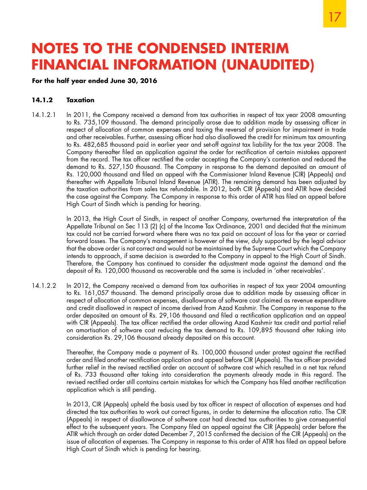### **For the half year ended June 30, 2016**

### **14.1.2 Taxation**

14.1.2.1 In 2011, the Company received a demand from tax authorities in respect of tax year 2008 amounting to Rs. 735,109 thousand. The demand principally arose due to addition made by assessing officer in respect of allocation of common expenses and taxing the reversal of provision for impairment in trade and other receivables. Further, assessing officer had also disallowed the credit for minimum tax amounting to Rs. 482,685 thousand paid in earlier year and set-off against tax liability for the tax year 2008. The Company thereafter filed an application against the order for rectification of certain mistakes apparent from the record. The tax officer rectified the order accepting the Company's contention and reduced the demand to Rs. 527,150 thousand. The Company in response to the demand deposited an amount of Rs. 120,000 thousand and filed an appeal with the Commissioner Inland Revenue (CIR) (Appeals) and thereafter with Appellate Tribunal Inland Revenue (ATIR). The remaining demand has been adjusted by the taxation authorities from sales tax refundable. In 2012, both CIR (Appeals) and ATIR have decided the case against the Company. The Company in response to this order of ATIR has filed an appeal before High Court of Sindh which is pending for hearing.

> In 2013, the High Court of Sindh, in respect of another Company, overturned the interpretation of the Appellate Tribunal on Sec 113 (2) (c) of the Income Tax Ordinance, 2001 and decided that the minimum tax could not be carried forward where there was no tax paid on account of loss for the year or carried forward losses. The Company's management is however of the view, duly supported by the legal advisor that the above order is not correct and would not be maintained by the Supreme Court which the Company intends to approach, if same decision is awarded to the Company in appeal to the High Court of Sindh. Therefore, the Company has continued to consider the adjustment made against the demand and the deposit of Rs. 120,000 thousand as recoverable and the same is included in 'other receivables'.

14.1.2.2 In 2012, the Company received a demand from tax authorities in respect of tax year 2004 amounting to Rs. 161,057 thousand. The demand principally arose due to addition made by assessing officer in respect of allocation of common expenses, disallowance of software cost claimed as revenue expenditure and credit disallowed in respect of income derived from Azad Kashmir. The Company in response to the order deposited an amount of Rs. 29,106 thousand and filed a rectification application and an appeal with CIR (Appeals). The tax officer rectified the order allowing Azad Kashmir tax credit and partial relief on amortisation of software cost reducing the tax demand to Rs. 109,895 thousand after taking into consideration Rs. 29,106 thousand already deposited on this account.

> Thereafter, the Company made a payment of Rs. 100,000 thousand under protest against the rectified order and filed another rectification application and appeal before CIR (Appeals). The tax officer provided further relief in the revised rectified order on account of software cost which resulted in a net tax refund of Rs. 733 thousand after taking into consideration the payments already made in this regard. The revised rectified order still contains certain mistakes for which the Company has filed another rectification application which is still pending.

> In 2013, CIR (Appeals) upheld the basis used by tax officer in respect of allocation of expenses and had directed the tax authorities to work out correct figures, in order to determine the allocation ratio. The CIR (Appeals) in respect of disallowance of software cost had directed tax authorities to give consequential effect to the subsequent years. The Company filed an appeal against the CIR (Appeals) order before the ATIR which through an order dated December 7, 2015 confirmed the decision of the CIR (Appeals) on the issue of allocation of expenses. The Company in response to this order of ATIR has filed an appeal before High Court of Sindh which is pending for hearing.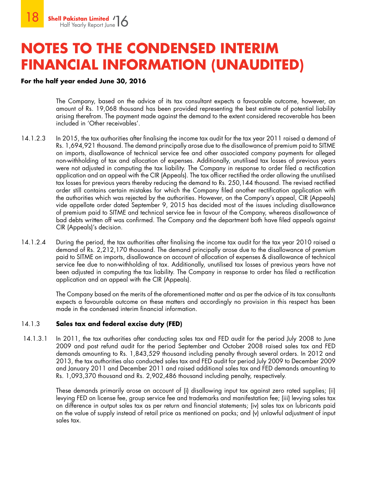### **For the half year ended June 30, 2016**

 The Company, based on the advice of its tax consultant expects a favourable outcome, however, an amount of Rs. 19,068 thousand has been provided representing the best estimate of potential liability arising therefrom. The payment made against the demand to the extent considered recoverable has been included in 'Other receivables'.

- 14.1.2.3 In 2015, the tax authorities after finalising the income tax audit for the tax year 2011 raised a demand of Rs. 1,694,921 thousand. The demand principally arose due to the disallowance of premium paid to SITME on imports, disallowance of technical service fee and other associated company payments for alleged non-withholding of tax and allocation of expenses. Additionally, unutilised tax losses of previous years were not adjusted in computing the tax liability. The Company in response to order filed a rectification application and an appeal with the CIR (Appeals). The tax officer rectified the order allowing the unutilised tax losses for previous years thereby reducing the demand to Rs. 250,144 thousand. The revised rectified order still contains certain mistakes for which the Company filed another rectification application with the authorities which was rejected by the authorities. However, on the Company's appeal, CIR (Appeals) vide appellate order dated September 9, 2015 has decided most of the issues including disallowance of premium paid to SITME and technical service fee in favour of the Company, whereas disallowance of bad debts written off was confirmed. The Company and the department both have filed appeals against CIR (Appeals)'s decision.
- 14.1.2.4 During the period, the tax authorities after finalising the income tax audit for the tax year 2010 raised a demand of Rs. 2,212,170 thousand. The demand principally arose due to the disallowance of premium paid to SITME on imports, disallowance on account of allocation of expenses & disallowance of technical service fee due to non-withholding of tax. Additionally, unutilised tax losses of previous years have not been adjusted in computing the tax liability. The Company in response to order has filed a rectification application and an appeal with the CIR (Appeals).

 The Company based on the merits of the aforementioned matter and as per the advice of its tax consultants expects a favourable outcome on these matters and accordingly no provision in this respect has been made in the condensed interim financial information.

### 14.1.3 **Sales tax and federal excise duty (FED)**

 14.1.3.1 In 2011, the tax authorities after conducting sales tax and FED audit for the period July 2008 to June 2009 and post refund audit for the period September and October 2008 raised sales tax and FED demands amounting to Rs. 1,843,529 thousand including penalty through several orders. In 2012 and 2013, the tax authorities also conducted sales tax and FED audit for period July 2009 to December 2009 and January 2011 and December 2011 and raised additional sales tax and FED demands amounting to Rs. 1,093,370 thousand and Rs. 2,902,486 thousand including penalty, respectively.

> These demands primarily arose on account of (i) disallowing input tax against zero rated supplies; (ii) levying FED on license fee, group service fee and trademarks and manifestation fee; (iii) levying sales tax on difference in output sales tax as per return and financial statements; (iv) sales tax on lubricants paid on the value of supply instead of retail price as mentioned on packs; and (v) unlawful adjustment of input sales tax.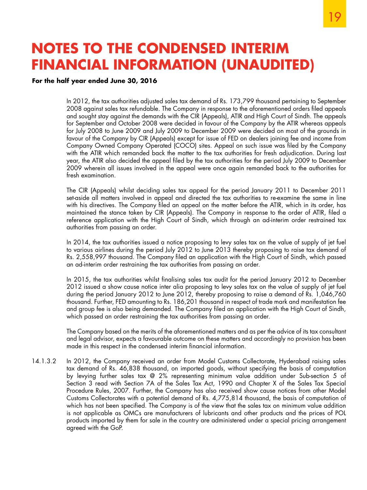### **For the half year ended June 30, 2016**

In 2012, the tax authorities adjusted sales tax demand of Rs. 173,799 thousand pertaining to September 2008 against sales tax refundable. The Company in response to the aforementioned orders filed appeals and sought stay against the demands with the CIR (Appeals), ATIR and High Court of Sindh. The appeals for September and October 2008 were decided in favour of the Company by the ATIR whereas appeals for July 2008 to June 2009 and July 2009 to December 2009 were decided on most of the grounds in favour of the Company by CIR (Appeals) except for issue of FED on dealers joining fee and income from Company Owned Company Operated (COCO) sites. Appeal on such issue was filed by the Company with the ATIR which remanded back the matter to the tax authorities for fresh adjudication. During last year, the ATIR also decided the appeal filed by the tax authorities for the period July 2009 to December 2009 wherein all issues involved in the appeal were once again remanded back to the authorities for fresh examination.

The CIR (Appeals) whilst deciding sales tax appeal for the period January 2011 to December 2011 set-aside all matters involved in appeal and directed the tax authorities to re-examine the same in line with his directives. The Company filed an appeal on the matter before the ATIR, which in its order, has maintained the stance taken by CIR (Appeals). The Company in response to the order of ATIR, filed a reference application with the High Court of Sindh, which through an ad-interim order restrained tax authorities from passing an order.

In 2014, the tax authorities issued a notice proposing to levy sales tax on the value of supply of jet fuel to various airlines during the period July 2012 to June 2013 thereby proposing to raise tax demand of Rs. 2,558,997 thousand. The Company filed an application with the High Court of Sindh, which passed an ad-interim order restraining the tax authorities from passing an order.

In 2015, the tax authorities whilst finalising sales tax audit for the period January 2012 to December 2012 issued a show cause notice inter alia proposing to levy sales tax on the value of supply of jet fuel during the period January 2012 to June 2012, thereby proposing to raise a demand of Rs. 1,046,760 thousand. Further, FED amounting to Rs. 186,201 thousand in respect of trade mark and manifestation fee and group fee is also being demanded. The Company filed an application with the High Court of Sindh, which passed an order restraining the tax authorities from passing an order.

The Company based on the merits of the aforementioned matters and as per the advice of its tax consultant and legal advisor, expects a favourable outcome on these matters and accordingly no provision has been made in this respect in the condensed interim financial information.

14.1.3.2 In 2012, the Company received an order from Model Customs Collectorate, Hyderabad raising sales tax demand of Rs. 46,838 thousand, on imported goods, without specifying the basis of computation by levying further sales tax @ 2% representing minimum value addition under Sub-section 5 of Section 3 read with Section 7A of the Sales Tax Act, 1990 and Chapter X of the Sales Tax Special Procedure Rules, 2007. Further, the Company has also received show cause notices from other Model Customs Collectorates with a potential demand of Rs. 4,775,814 thousand, the basis of computation of which has not been specified. The Company is of the view that the sales tax on minimum value addition is not applicable as OMCs are manufacturers of lubricants and other products and the prices of POL products imported by them for sale in the country are administered under a special pricing arrangement agreed with the GoP.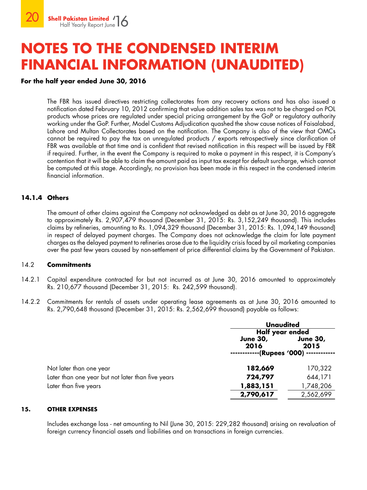### **For the half year ended June 30, 2016**

The FBR has issued directives restricting collectorates from any recovery actions and has also issued a notification dated February 10, 2012 confirming that value addition sales tax was not to be charged on POL products whose prices are regulated under special pricing arrangement by the GoP or regulatory authority working under the GoP. Further, Model Customs Adjudication quashed the show cause notices of Faisalabad, Lahore and Multan Collectorates based on the notification. The Company is also of the view that OMCs cannot be required to pay the tax on unregulated products / exports retrospectively since clarification of FBR was available at that time and is confident that revised notification in this respect will be issued by FBR if required. Further, in the event the Company is required to make a payment in this respect, it is Company's contention that it will be able to claim the amount paid as input tax except for default surcharge, which cannot be computed at this stage. Accordingly, no provision has been made in this respect in the condensed interim financial information.

### **14.1.4 Others**

The amount of other claims against the Company not acknowledged as debt as at June 30, 2016 aggregate to approximately Rs. 2,907,479 thousand (December 31, 2015: Rs. 3,152,249 thousand). This includes claims by refineries, amounting to Rs. 1,094,329 thousand (December 31, 2015: Rs. 1,094,149 thousand) in respect of delayed payment charges. The Company does not acknowledge the claim for late payment charges as the delayed payment to refineries arose due to the liquidity crisis faced by oil marketing companies over the past few years caused by non-settlement of price differential claims by the Government of Pakistan.

### 14.2 **Commitments**

- 14.2.1 Capital expenditure contracted for but not incurred as at June 30, 2016 amounted to approximately Rs. 210,677 thousand (December 31, 2015: Rs. 242,599 thousand).
- 14.2.2 Commitments for rentals of assets under operating lease agreements as at June 30, 2016 amounted to Rs. 2,790,648 thousand (December 31, 2015: Rs. 2,562,699 thousand) payable as follows:

|                                                   | <b>Unaudited</b><br>Half year ended       |                         |  |
|---------------------------------------------------|-------------------------------------------|-------------------------|--|
|                                                   |                                           |                         |  |
|                                                   | <b>June 30,</b><br>2016<br>-(Rupees '000) | <b>June 30,</b><br>2015 |  |
| Not later than one year                           | 182,669                                   | 170,322                 |  |
| Later than one year but not later than five years | 724,797                                   | 644,171                 |  |
| Later than five years                             | 1,883,151                                 | 1,748,206               |  |
|                                                   | 2,790,617                                 | 2,562,699               |  |

#### **15. OTHER EXPENSES**

Includes exchange loss - net amounting to Nil (June 30, 2015: 229,282 thousand) arising on revaluation of foreign currency financial assets and liabilities and on transactions in foreign currencies.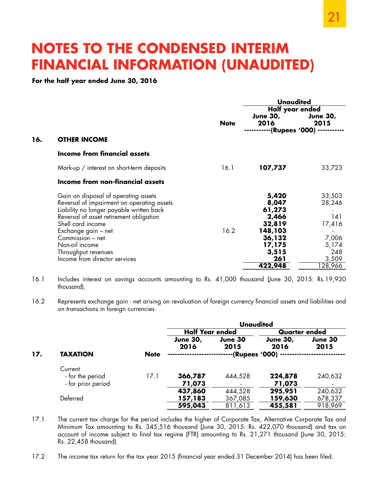**For the half year ended June 30, 2016**

|             | Unaudited                                                                                  |                                                                                |  |  |
|-------------|--------------------------------------------------------------------------------------------|--------------------------------------------------------------------------------|--|--|
| <b>Note</b> | Half year ended<br><b>June 30,</b><br>2016                                                 | <b>June 30,</b><br>2015                                                        |  |  |
|             |                                                                                            |                                                                                |  |  |
|             |                                                                                            |                                                                                |  |  |
| 16.1        | 107,737                                                                                    | 33,723                                                                         |  |  |
|             |                                                                                            |                                                                                |  |  |
| 16.2        | 5,420<br>8,047<br>61,273<br>2,466<br>32,819<br>148,103<br>36,132<br>17,175<br>3,515<br>261 | 33,503<br>28,246<br>141<br>17,416<br>7,006<br>5,174<br>248<br>3,509<br>128,966 |  |  |
|             |                                                                                            | -(Rupees '000) -<br>422,948                                                    |  |  |

- 16.1 Includes interest on savings accounts amounting to Rs. 41,000 thousand (June 30, 2015: Rs.19,930 thousand).
- 16.2 Represents exchange gain net arising on revaluation of foreign currency financial assets and liabilities and on transactions in foreign currencies.

|     |                    |             | <b>Unaudited</b>        |                   |                         |                 |
|-----|--------------------|-------------|-------------------------|-------------------|-------------------------|-----------------|
|     |                    |             | <b>Half Year ended</b>  |                   | <b>Quarter ended</b>    |                 |
|     |                    |             | <b>June 30,</b><br>2016 | June 30<br>2015   | <b>June 30,</b><br>2016 | June 30<br>2015 |
| 17. | <b>TAXATION</b>    | <b>Note</b> |                         | ·(Rupees '000) -- |                         |                 |
|     | Current            |             |                         |                   |                         |                 |
|     | - for the period   | 17.1        | 366,787                 | 444,528           | 224,878                 | 240,632         |
|     | - for prior period |             | 71,073                  |                   | 71,073                  |                 |
|     |                    |             | 437,860                 | 444,528           | 295,951                 | 240,632         |
|     | Deferred           |             | 157,183                 | 367,085           | 159,630                 | 678,337         |
|     |                    |             | 595,043                 | 811,613           | 455,581                 | 918,969         |
|     |                    |             |                         |                   |                         |                 |

- 17.1 The current tax charge for the period includes the higher of Corporate Tax, Alternative Corporate Tax and Minimum Tax amounting to Rs. 345,516 thousand (June 30, 2015: Rs. 422,070 thousand) and tax on account of income subject to final tax regime (FTR) amounting to Rs. 21,271 thousand (June 30, 2015: Rs. 22,458 thousand).
- 17.2 The income tax return for the tax year 2015 (financial year ended 31 December 2014) has been filed.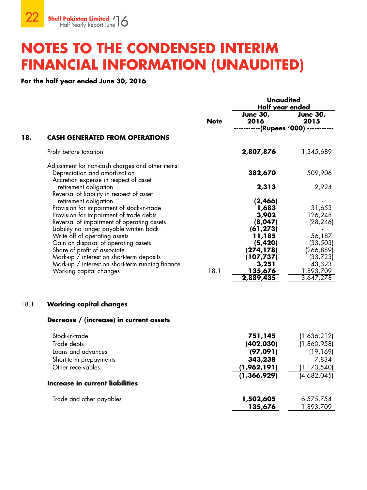**For the half year ended June 30, 2016**

|      |                                                                                                                                                                                                          |             | <b>Unaudited</b><br>Half year ended               |                                                |  |
|------|----------------------------------------------------------------------------------------------------------------------------------------------------------------------------------------------------------|-------------|---------------------------------------------------|------------------------------------------------|--|
|      |                                                                                                                                                                                                          | <b>Note</b> | <b>June 30,</b><br>2016                           | <b>June 30,</b><br>2015                        |  |
| 18.  | <b>CASH GENERATED FROM OPERATIONS</b>                                                                                                                                                                    |             | --------(Rupees '000)                             |                                                |  |
|      |                                                                                                                                                                                                          |             |                                                   |                                                |  |
|      | Profit before taxation                                                                                                                                                                                   |             | 2,807,876                                         | 1,345,689                                      |  |
|      | Adjustment for non-cash charges and other items:<br>Depreciation and amortization<br>Accretion expense in respect of asset                                                                               |             | 382,670                                           | 509,906                                        |  |
|      | retirement obligation<br>Reversal of liability in respect of asset                                                                                                                                       |             | 2,313                                             | 2,924                                          |  |
|      | retirement obligation<br>Provision for impairment of stock-in-trade<br>Provision for impairment of trade debts<br>Reversal of impairment of operating assets<br>Liability no longer payable written back |             | (2,466)<br>1,683<br>3,902<br>(8,047)<br>(61, 273) | 31,653<br>126,248<br>(28, 246)                 |  |
|      | Write off of operating assets<br>Gain on disposal of operating assets<br>Share of profit of associate<br>Mark-up / interest on short-term deposits                                                       |             | 11,185<br>(5, 420)<br>(274, 178)<br>(107, 737)    | 56,187<br>(33, 503)<br>(266, 889)<br>(33, 723) |  |
|      | Mark-up / interest on short-term running finance<br>Working capital changes                                                                                                                              | 18.1        | 3,251<br>135,676<br>2,889,435                     | 43,323<br>1,893,709<br>3,647,278               |  |
| 18.1 | <b>Working capital changes</b>                                                                                                                                                                           |             |                                                   |                                                |  |
|      | Decrease / (increase) in current assets                                                                                                                                                                  |             |                                                   |                                                |  |
|      | Stock-in-trade<br>Trade debts                                                                                                                                                                            |             | 751,145<br>(402, 030)                             | (1,636,212)<br>(1,860,958)                     |  |
|      | Loans and advances<br>Short-term prepayments                                                                                                                                                             |             | (97,091)<br>343,238                               | (19, 169)<br>7,834                             |  |
|      | Other receivables                                                                                                                                                                                        |             | (1,962,191)                                       | (1, 173, 540)                                  |  |
|      | Increase in current liabilities                                                                                                                                                                          |             | (1, 366, 929)                                     | (4,682,045)                                    |  |
|      | Trade and other payables                                                                                                                                                                                 |             | 1,502,605                                         | 6,575,754                                      |  |
|      |                                                                                                                                                                                                          |             | 135,676                                           | 1,893,709                                      |  |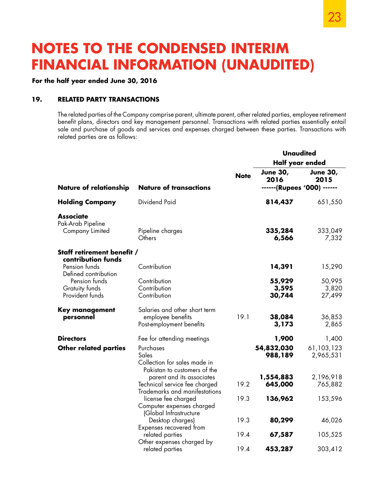### **For the half year ended June 30, 2016**

### **19. RELATED PARTY TRANSACTIONS**

The related parties of the Company comprise parent, ultimate parent, other related parties, employee retirement benefit plans, directors and key management personnel. Transactions with related parties essentially entail sale and purchase of goods and services and expenses charged between these parties. Transactions with related parties are as follows:

|                                                             |                                                                                             |                 | <b>Unaudited</b>                                       |                           |  |
|-------------------------------------------------------------|---------------------------------------------------------------------------------------------|-----------------|--------------------------------------------------------|---------------------------|--|
|                                                             |                                                                                             | Half year ended |                                                        |                           |  |
| <b>Nature of relationship</b>                               | <b>Nature of transactions</b>                                                               | <b>Note</b>     | <b>June 30,</b><br>2016<br>------ (Rupees '000) ------ | <b>June 30,</b><br>2015   |  |
|                                                             |                                                                                             |                 |                                                        |                           |  |
| <b>Holding Company</b>                                      | <b>Dividend Paid</b>                                                                        |                 | 814,437                                                | 651,550                   |  |
| <b>Associate</b><br>Pak-Arab Pipeline<br>Company Limited    | Pipeline charges<br>Others                                                                  |                 | 335,284<br>6,566                                       | 333,049<br>7,332          |  |
| Staff retirement benefit /                                  |                                                                                             |                 |                                                        |                           |  |
| contribution funds<br>Pension funds<br>Defined contribution | Contribution                                                                                |                 | 14,391                                                 | 15,290                    |  |
| Pension funds<br>Gratuity funds<br>Provident funds          | Contribution<br>Contribution<br>Contribution                                                |                 | 55,929<br>3,595<br>30,744                              | 50,995<br>3,820<br>27,499 |  |
| <b>Key management</b><br>personnel                          | Salaries and other short term<br>employee benefits<br>Post-employment benefits              | 19.1            | 38,084<br>3,173                                        | 36,853<br>2,865           |  |
| <b>Directors</b>                                            | Fee for attending meetings                                                                  |                 | 1,900                                                  | 1,400                     |  |
| <b>Other related parties</b>                                | Purchases<br>Sales<br>Collection for sales made in<br>Pakistan to customers of the          |                 | 54,832,030<br>988,189                                  | 61,103,123<br>2,965,531   |  |
|                                                             | parent and its associates<br>Technical service fee charged<br>Trademarks and manifestations | 19.2            | 1,554,883<br>645,000                                   | 2,196,918<br>765,882      |  |
|                                                             | license fee charged<br>Computer expenses charged<br>(Global Infrastructure                  | 19.3            | 136,962                                                | 153,596                   |  |
|                                                             | Desktop charges)<br>Expenses recovered from                                                 | 19.3            | 80,299                                                 | 46,026                    |  |
|                                                             | related parties<br>Other expenses charged by                                                | 19.4            | 67,587                                                 | 105,525                   |  |
|                                                             | related parties                                                                             | 19.4            | 453,287                                                | 303,412                   |  |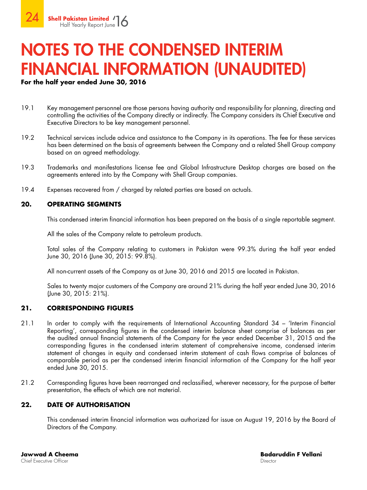### **For the half year ended June 30, 2016**

- 19.1 Key management personnel are those persons having authority and responsibility for planning, directing and controlling the activities of the Company directly or indirectly. The Company considers its Chief Executive and Executive Directors to be key management personnel.
- 19.2 Technical services include advice and assistance to the Company in its operations. The fee for these services has been determined on the basis of agreements between the Company and a related Shell Group company based on an agreed methodology.
- 19.3 Trademarks and manifestations license fee and Global Infrastructure Desktop charges are based on the agreements entered into by the Company with Shell Group companies.
- 19.4 Expenses recovered from / charged by related parties are based on actuals.

### **20. OPERATING SEGMENTS**

This condensed interim financial information has been prepared on the basis of a single reportable segment.

All the sales of the Company relate to petroleum products.

Total sales of the Company relating to customers in Pakistan were 99.3% during the half year ended June 30, 2016 (June 30, 2015: 99.8%).

All non-current assets of the Company as at June 30, 2016 and 2015 are located in Pakistan.

Sales to twenty major customers of the Company are around 21% during the half year ended June 30, 2016 (June 30, 2015: 21%).

### **21. CORRESPONDING FIGURES**

- 21.1 In order to comply with the requirements of International Accounting Standard 34 'Interim Financial Reporting', corresponding figures in the condensed interim balance sheet comprise of balances as per the audited annual financial statements of the Company for the year ended December 31, 2015 and the corresponding figures in the condensed interim statement of comprehensive income, condensed interim statement of changes in equity and condensed interim statement of cash flows comprise of balances of comparable period as per the condensed interim financial information of the Company for the half year ended June 30, 2015.
- 21.2 Corresponding figures have been rearranged and reclassified, wherever necessary, for the purpose of better presentation, the effects of which are not material.

### **22. DATE OF AUTHORISATION**

This condensed interim financial information was authorized for issue on August 19, 2016 by the Board of Directors of the Company.